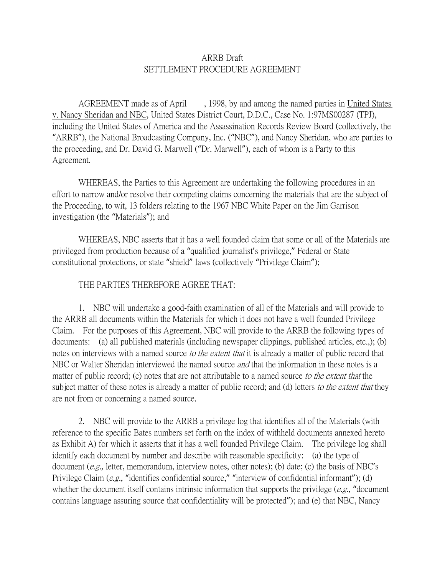## ARRB Draft SETTLEMENT PROCEDURE AGREEMENT

AGREEMENT made as of April , 1998, by and among the named parties in United States v. Nancy Sheridan and NBC, United States District Court, D.D.C., Case No. 1:97MS00287 (TPJ), including the United States of America and the Assassination Records Review Board (collectively, the "ARRB"), the National Broadcasting Company, Inc. ("NBC"), and Nancy Sheridan, who are parties to the proceeding, and Dr. David G. Marwell ("Dr. Marwell"), each of whom is a Party to this Agreement.

WHEREAS, the Parties to this Agreement are undertaking the following procedures in an effort to narrow and/or resolve their competing claims concerning the materials that are the subject of the Proceeding, to wit, 13 folders relating to the 1967 NBC White Paper on the Jim Garrison investigation (the "Materials"); and

WHEREAS, NBC asserts that it has a well founded claim that some or all of the Materials are privileged from production because of a "qualified journalist's privilege," Federal or State constitutional protections, or state "shield" laws (collectively "Privilege Claim");

## THE PARTIES THEREFORE AGREE THAT:

1. NBC will undertake a good-faith examination of all of the Materials and will provide to the ARRB all documents within the Materials for which it does not have a well founded Privilege Claim. For the purposes of this Agreement, NBC will provide to the ARRB the following types of documents: (a) all published materials (including newspaper clippings, published articles, etc.,); (b) notes on interviews with a named source to the extent that it is already a matter of public record that NBC or Walter Sheridan interviewed the named source *and* that the information in these notes is a matter of public record; (c) notes that are not attributable to a named source to the extent that the subject matter of these notes is already a matter of public record; and (d) letters to the extent that they are not from or concerning a named source.

2. NBC will provide to the ARRB a privilege log that identifies all of the Materials (with reference to the specific Bates numbers set forth on the index of withheld documents annexed hereto as Exhibit A) for which it asserts that it has a well founded Privilege Claim. The privilege log shall identify each document by number and describe with reasonable specificity: (a) the type of document (e.g., letter, memorandum, interview notes, other notes); (b) date; (c) the basis of NBC's Privilege Claim (e.g., "identifies confidential source," "interview of confidential informant"); (d) whether the document itself contains intrinsic information that supports the privilege  $(e.g., "document$ contains language assuring source that confidentiality will be protected"); and (e) that NBC, Nancy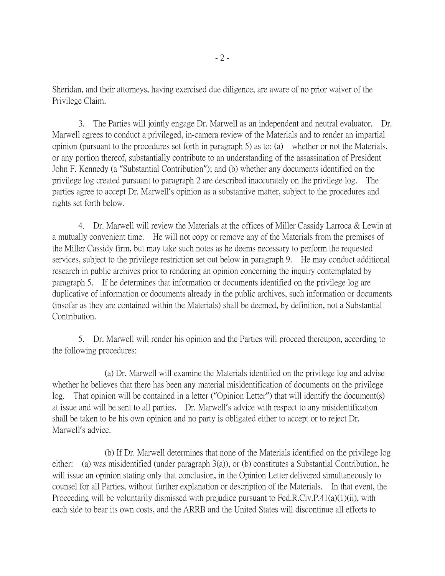Sheridan, and their attorneys, having exercised due diligence, are aware of no prior waiver of the Privilege Claim.

3. The Parties will jointly engage Dr. Marwell as an independent and neutral evaluator. Dr. Marwell agrees to conduct a privileged, in-camera review of the Materials and to render an impartial opinion (pursuant to the procedures set forth in paragraph 5) as to: (a) whether or not the Materials, or any portion thereof, substantially contribute to an understanding of the assassination of President John F. Kennedy (a "Substantial Contribution"); and (b) whether any documents identified on the privilege log created pursuant to paragraph 2 are described inaccurately on the privilege log. The parties agree to accept Dr. Marwell's opinion as a substantive matter, subject to the procedures and rights set forth below.

4. Dr. Marwell will review the Materials at the offices of Miller Cassidy Larroca & Lewin at a mutually convenient time. He will not copy or remove any of the Materials from the premises of the Miller Cassidy firm, but may take such notes as he deems necessary to perform the requested services, subject to the privilege restriction set out below in paragraph 9. He may conduct additional research in public archives prior to rendering an opinion concerning the inquiry contemplated by paragraph 5. If he determines that information or documents identified on the privilege log are duplicative of information or documents already in the public archives, such information or documents (insofar as they are contained within the Materials) shall be deemed, by definition, not a Substantial Contribution.

5. Dr. Marwell will render his opinion and the Parties will proceed thereupon, according to the following procedures:

(a) Dr. Marwell will examine the Materials identified on the privilege log and advise whether he believes that there has been any material misidentification of documents on the privilege log. That opinion will be contained in a letter ("Opinion Letter") that will identify the document(s) at issue and will be sent to all parties. Dr. Marwell's advice with respect to any misidentification shall be taken to be his own opinion and no party is obligated either to accept or to reject Dr. Marwell's advice.

(b) If Dr. Marwell determines that none of the Materials identified on the privilege log either: (a) was misidentified (under paragraph 3(a)), or (b) constitutes a Substantial Contribution, he will issue an opinion stating only that conclusion, in the Opinion Letter delivered simultaneously to counsel for all Parties, without further explanation or description of the Materials. In that event, the Proceeding will be voluntarily dismissed with prejudice pursuant to Fed.R.Civ.P.41(a)(1)(ii), with each side to bear its own costs, and the ARRB and the United States will discontinue all efforts to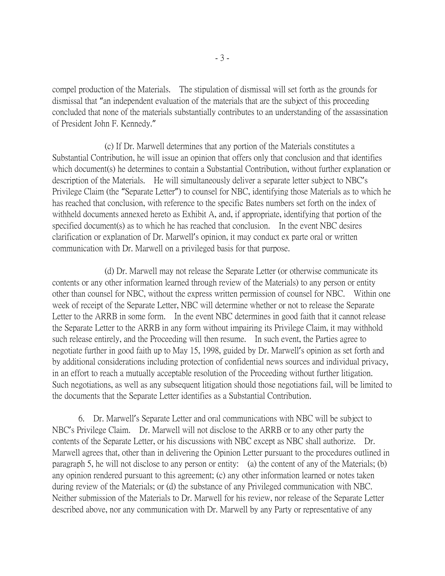compel production of the Materials. The stipulation of dismissal will set forth as the grounds for dismissal that "an independent evaluation of the materials that are the subject of this proceeding concluded that none of the materials substantially contributes to an understanding of the assassination of President John F. Kennedy."

(c) If Dr. Marwell determines that any portion of the Materials constitutes a Substantial Contribution, he will issue an opinion that offers only that conclusion and that identifies which document(s) he determines to contain a Substantial Contribution, without further explanation or description of the Materials. He will simultaneously deliver a separate letter subject to NBC's Privilege Claim (the "Separate Letter") to counsel for NBC, identifying those Materials as to which he has reached that conclusion, with reference to the specific Bates numbers set forth on the index of withheld documents annexed hereto as Exhibit A, and, if appropriate, identifying that portion of the specified document(s) as to which he has reached that conclusion. In the event NBC desires clarification or explanation of Dr. Marwell's opinion, it may conduct ex parte oral or written communication with Dr. Marwell on a privileged basis for that purpose.

(d) Dr. Marwell may not release the Separate Letter (or otherwise communicate its contents or any other information learned through review of the Materials) to any person or entity other than counsel for NBC, without the express written permission of counsel for NBC. Within one week of receipt of the Separate Letter, NBC will determine whether or not to release the Separate Letter to the ARRB in some form. In the event NBC determines in good faith that it cannot release the Separate Letter to the ARRB in any form without impairing its Privilege Claim, it may withhold such release entirely, and the Proceeding will then resume. In such event, the Parties agree to negotiate further in good faith up to May 15, 1998, guided by Dr. Marwell's opinion as set forth and by additional considerations including protection of confidential news sources and individual privacy, in an effort to reach a mutually acceptable resolution of the Proceeding without further litigation. Such negotiations, as well as any subsequent litigation should those negotiations fail, will be limited to the documents that the Separate Letter identifies as a Substantial Contribution.

6. Dr. Marwell's Separate Letter and oral communications with NBC will be subject to NBC's Privilege Claim. Dr. Marwell will not disclose to the ARRB or to any other party the contents of the Separate Letter, or his discussions with NBC except as NBC shall authorize. Dr. Marwell agrees that, other than in delivering the Opinion Letter pursuant to the procedures outlined in paragraph 5, he will not disclose to any person or entity: (a) the content of any of the Materials; (b) any opinion rendered pursuant to this agreement; (c) any other information learned or notes taken during review of the Materials; or (d) the substance of any Privileged communication with NBC. Neither submission of the Materials to Dr. Marwell for his review, nor release of the Separate Letter described above, nor any communication with Dr. Marwell by any Party or representative of any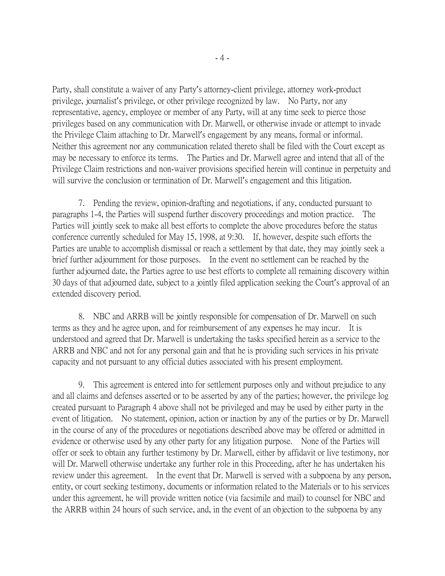Party, shall constitute a waiver of any Party's attorney-client privilege, attorney work-product privilege, journalist's privilege, or other privilege recognized by law. No Party, nor any representative, agency, employee or member of any Party, will at any time seek to pierce those privileges based on any communication with Dr. Marwell, or otherwise invade or attempt to invade the Privilege Claim attaching to Dr. Marwell's engagement by any means, formal or informal. Neither this agreement nor any communication related thereto shall be filed with the Court except as may be necessary to enforce its terms. The Parties and Dr. Marwell agree and intend that all of the Privilege Claim restrictions and non-waiver provisions specified herein will continue in perpetuity and will survive the conclusion or termination of Dr. Marwell's engagement and this litigation.

7. Pending the review, opinion-drafting and negotiations, if any, conducted pursuant to paragraphs 1-4, the Parties will suspend further discovery proceedings and motion practice. The Parties will jointly seek to make all best efforts to complete the above procedures before the status conference currently scheduled for May 15, 1998, at 9:30. If, however, despite such efforts the Parties are unable to accomplish dismissal or reach a settlement by that date, they may jointly seek a brief further adjournment for those purposes. In the event no settlement can be reached by the further adjourned date, the Parties agree to use best efforts to complete all remaining discovery within 30 days of that adjourned date, subject to a jointly filed application seeking the Court's approval of an extended discovery period.

8. NBC and ARRB will be jointly responsible for compensation of Dr. Marwell on such terms as they and he agree upon, and for reimbursement of any expenses he may incur. It is understood and agreed that Dr. Marwell is undertaking the tasks specified herein as a service to the ARRB and NBC and not for any personal gain and that he is providing such services in his private capacity and not pursuant to any official duties associated with his present employment.

9. This agreement is entered into for settlement purposes only and without prejudice to any and all claims and defenses asserted or to be asserted by any of the parties; however, the privilege log created pursuant to Paragraph 4 above shall not be privileged and may be used by either party in the event of litigation. No statement, opinion, action or inaction by any of the parties or by Dr. Marwell in the course of any of the procedures or negotiations described above may be offered or admitted in evidence or otherwise used by any other party for any litigation purpose. None of the Parties will offer or seek to obtain any further testimony by Dr. Marwell, either by affidavit or live testimony, nor will Dr. Marwell otherwise undertake any further role in this Proceeding, after he has undertaken his review under this agreement. In the event that Dr. Marwell is served with a subpoena by any person, entity, or court seeking testimony, documents or information related to the Materials or to his services under this agreement, he will provide written notice (via facsimile and mail) to counsel for NBC and the ARRB within 24 hours of such service, and, in the event of an objection to the subpoena by any